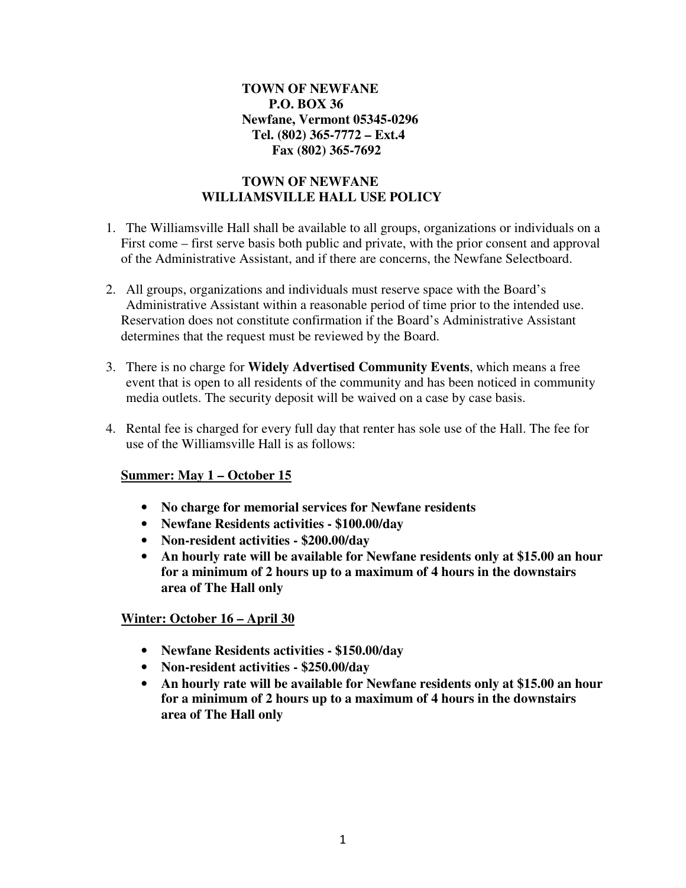## **TOWN OF NEWFANE P.O. BOX 36 Newfane, Vermont 05345-0296 Tel. (802) 365-7772 – Ext.4 Fax (802) 365-7692**

## **TOWN OF NEWFANE WILLIAMSVILLE HALL USE POLICY**

- 1. The Williamsville Hall shall be available to all groups, organizations or individuals on a First come – first serve basis both public and private, with the prior consent and approval of the Administrative Assistant, and if there are concerns, the Newfane Selectboard.
- 2. All groups, organizations and individuals must reserve space with the Board's Administrative Assistant within a reasonable period of time prior to the intended use. Reservation does not constitute confirmation if the Board's Administrative Assistant determines that the request must be reviewed by the Board.
- 3. There is no charge for **Widely Advertised Community Events**, which means a free event that is open to all residents of the community and has been noticed in community media outlets. The security deposit will be waived on a case by case basis.
- 4. Rental fee is charged for every full day that renter has sole use of the Hall. The fee for use of the Williamsville Hall is as follows:

## **Summer: May 1 – October 15**

- **No charge for memorial services for Newfane residents**
- **Newfane Residents activities \$100.00/day**
- **Non-resident activities \$200.00/day**
- **An hourly rate will be available for Newfane residents only at \$15.00 an hour for a minimum of 2 hours up to a maximum of 4 hours in the downstairs area of The Hall only**

## **Winter: October 16 – April 30**

- **Newfane Residents activities \$150.00/day**
- **Non-resident activities \$250.00/day**
- **An hourly rate will be available for Newfane residents only at \$15.00 an hour for a minimum of 2 hours up to a maximum of 4 hours in the downstairs area of The Hall only**